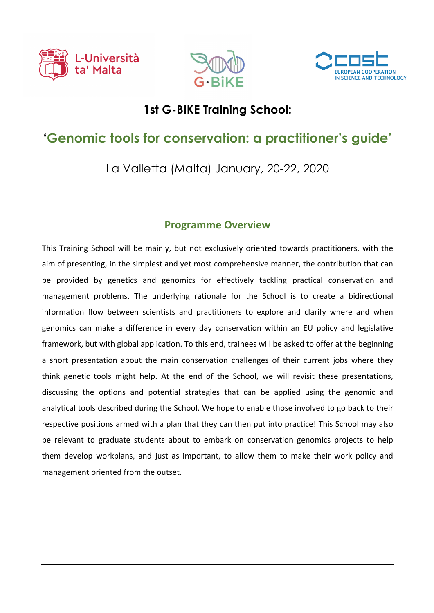





## **1st G-BIKE Training School:**

## **'Genomic tools for conservation: a practitioner's guide'**

La Valletta (Malta) January, 20-22, 2020

## **Programme Overview**

This Training School will be mainly, but not exclusively oriented towards practitioners, with the aim of presenting, in the simplest and yet most comprehensive manner, the contribution that can be provided by genetics and genomics for effectively tackling practical conservation and management problems. The underlying rationale for the School is to create a bidirectional information flow between scientists and practitioners to explore and clarify where and when genomics can make a difference in every day conservation within an EU policy and legislative framework, but with global application. To this end, trainees will be asked to offer at the beginning a short presentation about the main conservation challenges of their current jobs where they think genetic tools might help. At the end of the School, we will revisit these presentations, discussing the options and potential strategies that can be applied using the genomic and analytical tools described during the School. We hope to enable those involved to go back to their respective positions armed with a plan that they can then put into practice! This School may also be relevant to graduate students about to embark on conservation genomics projects to help them develop workplans, and just as important, to allow them to make their work policy and management oriented from the outset.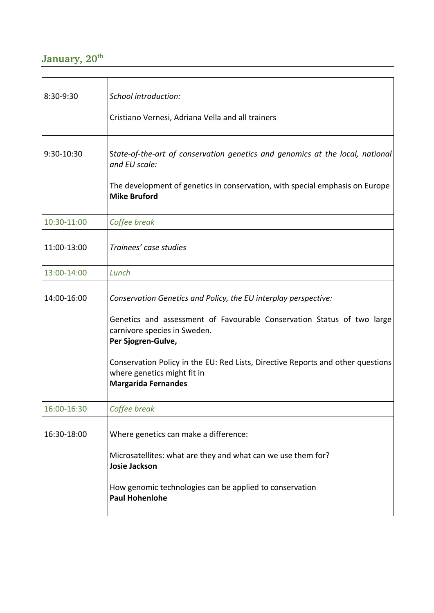## January, 20<sup>th</sup>

| 8:30-9:30   | School introduction:                                                                                                                         |
|-------------|----------------------------------------------------------------------------------------------------------------------------------------------|
|             | Cristiano Vernesi, Adriana Vella and all trainers                                                                                            |
| 9:30-10:30  | State-of-the-art of conservation genetics and genomics at the local, national<br>and EU scale:                                               |
|             | The development of genetics in conservation, with special emphasis on Europe<br><b>Mike Bruford</b>                                          |
| 10:30-11:00 | Coffee break                                                                                                                                 |
| 11:00-13:00 | Trainees' case studies                                                                                                                       |
| 13:00-14:00 | Lunch                                                                                                                                        |
| 14:00-16:00 | Conservation Genetics and Policy, the EU interplay perspective:                                                                              |
|             | Genetics and assessment of Favourable Conservation Status of two large<br>carnivore species in Sweden.<br>Per Sjogren-Gulve,                 |
|             | Conservation Policy in the EU: Red Lists, Directive Reports and other questions<br>where genetics might fit in<br><b>Margarida Fernandes</b> |
| 16:00-16:30 | Coffee break                                                                                                                                 |
| 16:30-18:00 | Where genetics can make a difference:                                                                                                        |
|             | Microsatellites: what are they and what can we use them for?<br><b>Josie Jackson</b>                                                         |
|             | How genomic technologies can be applied to conservation<br><b>Paul Hohenlohe</b>                                                             |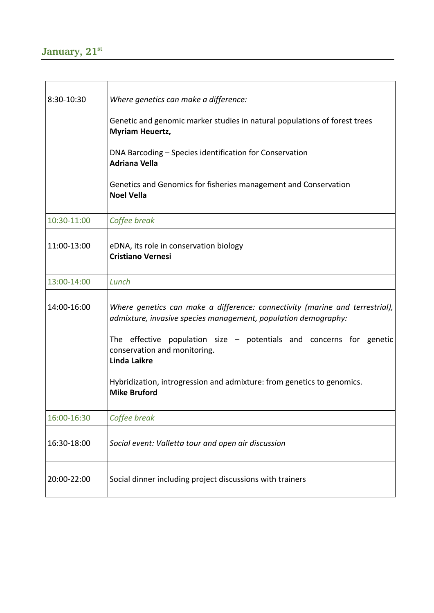| 8:30-10:30  | Where genetics can make a difference:<br>Genetic and genomic marker studies in natural populations of forest trees<br><b>Myriam Heuertz,</b><br>DNA Barcoding – Species identification for Conservation<br><b>Adriana Vella</b><br>Genetics and Genomics for fisheries management and Conservation<br><b>Noel Vella</b>                                                         |
|-------------|---------------------------------------------------------------------------------------------------------------------------------------------------------------------------------------------------------------------------------------------------------------------------------------------------------------------------------------------------------------------------------|
| 10:30-11:00 | Coffee break                                                                                                                                                                                                                                                                                                                                                                    |
| 11:00-13:00 | eDNA, its role in conservation biology<br><b>Cristiano Vernesi</b>                                                                                                                                                                                                                                                                                                              |
| 13:00-14:00 | Lunch                                                                                                                                                                                                                                                                                                                                                                           |
| 14:00-16:00 | Where genetics can make a difference: connectivity (marine and terrestrial),<br>admixture, invasive species management, population demography:<br>The effective population size $-$ potentials and concerns for genetic<br>conservation and monitoring.<br><b>Linda Laikre</b><br>Hybridization, introgression and admixture: from genetics to genomics.<br><b>Mike Bruford</b> |
| 16:00-16:30 | Coffee break                                                                                                                                                                                                                                                                                                                                                                    |
| 16:30-18:00 | Social event: Valletta tour and open air discussion                                                                                                                                                                                                                                                                                                                             |
| 20:00-22:00 | Social dinner including project discussions with trainers                                                                                                                                                                                                                                                                                                                       |